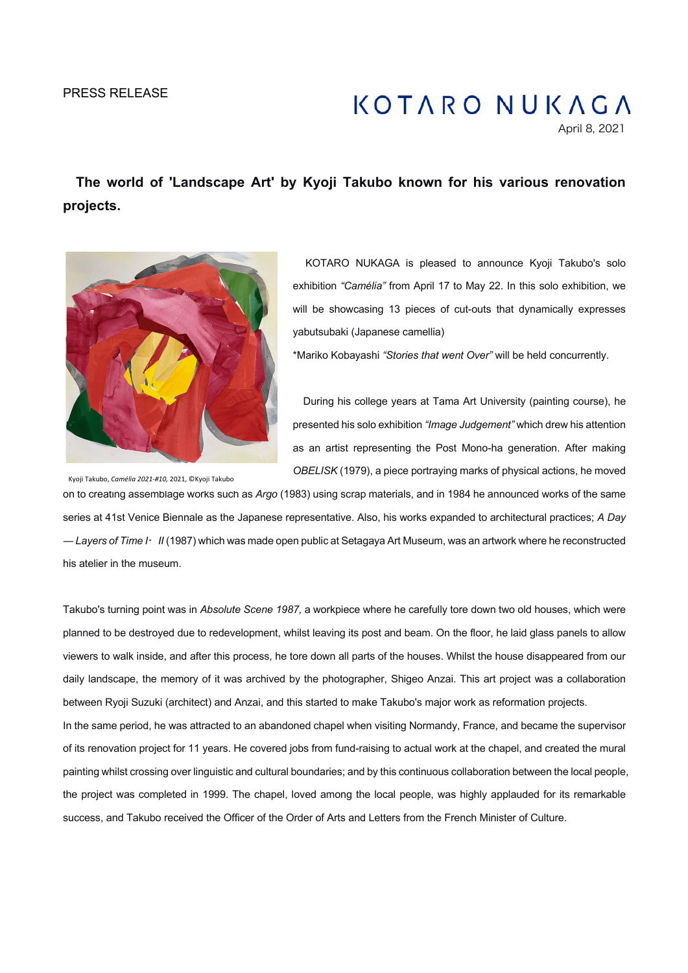## PRESS RELEASE

# **KOTARO NUKAGA**

April 8, 2021

 **The world of 'Landscape Art' by Kyoji Takubo known for his various renovation projects.**



KOTARO NUKAGA is pleased to announce Kyoji Takubo's solo exhibition *"Camélia"* from April 17 to May 22. In this solo exhibition, we will be showcasing 13 pieces of cut-outs that dynamically expresses yabutsubaki (Japanese camellia)

\*Mariko Kobayashi *"Stories that went Over"* will be held concurrently.

During his college years at Tama Art University (painting course), he presented his solo exhibition *"Image Judgement"* which drew his attention as an artist representing the Post Mono-ha generation. After making *OBELISK* (1979), a piece portraying marks of physical actions, he moved

Kyoji Takubo, *Camélia 2021-#10,* 2021, ©Kyoji Takubo

on to creating assemblage works such as *Argo* (1983) using scrap materials, and in 1984 he announced works of the same series at 41st Venice Biennale as the Japanese representative. Also, his works expanded to architectural practices; *A Day ― Layers of Time I*!*II* (1987) which was made open public at Setagaya Art Museum, was an artwork where he reconstructed his atelier in the museum.

Takubo's turning point was in *Absolute Scene 1987,* a workpiece where he carefully tore down two old houses, which were planned to be destroyed due to redevelopment, whilst leaving its post and beam. On the floor, he laid glass panels to allow viewers to walk inside, and after this process, he tore down all parts of the houses. Whilst the house disappeared from our daily landscape, the memory of it was archived by the photographer, Shigeo Anzai. This art project was a collaboration between Ryoji Suzuki (architect) and Anzai, and this started to make Takubo's major work as reformation projects.

In the same period, he was attracted to an abandoned chapel when visiting Normandy, France, and became the supervisor of its renovation project for 11 years. He covered jobs from fund-raising to actual work at the chapel, and created the mural painting whilst crossing over linguistic and cultural boundaries; and by this continuous collaboration between the local people, the project was completed in 1999. The chapel, loved among the local people, was highly applauded for its remarkable success, and Takubo received the Officer of the Order of Arts and Letters from the French Minister of Culture.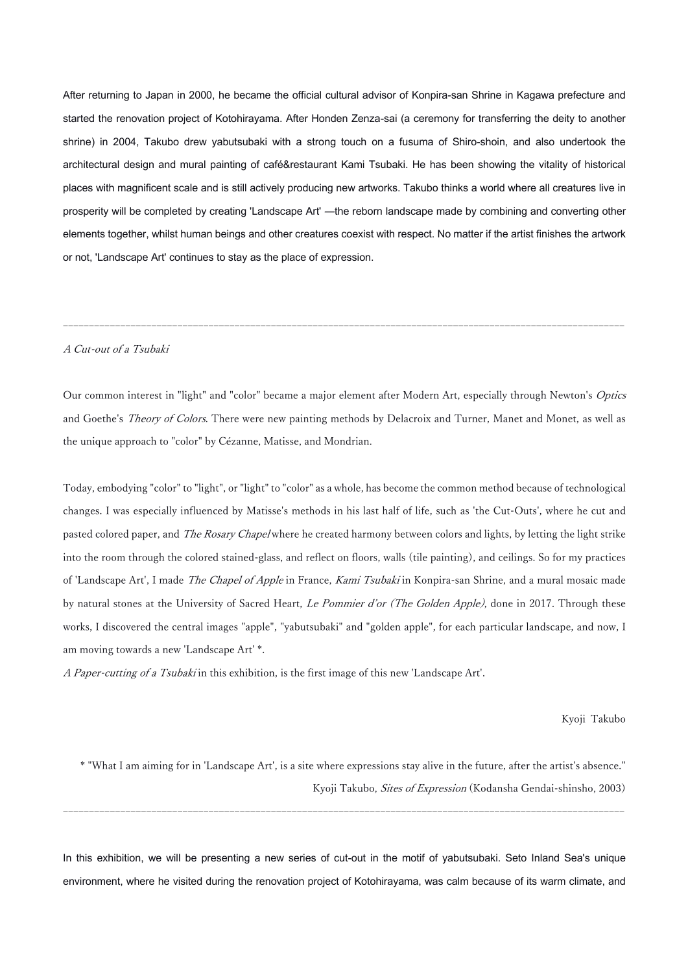After returning to Japan in 2000, he became the official cultural advisor of Konpira-san Shrine in Kagawa prefecture and started the renovation project of Kotohirayama. After Honden Zenza-sai (a ceremony for transferring the deity to another shrine) in 2004, Takubo drew yabutsubaki with a strong touch on a fusuma of Shiro-shoin, and also undertook the architectural design and mural painting of café&restaurant Kami Tsubaki. He has been showing the vitality of historical places with magnificent scale and is still actively producing new artworks. Takubo thinks a world where all creatures live in prosperity will be completed by creating 'Landscape Art' *―*the reborn landscape made by combining and converting other elements together, whilst human beings and other creatures coexist with respect. No matter if the artist finishes the artwork or not, 'Landscape Art' continues to stay as the place of expression.

### A Cut-out of a Tsubaki

Our common interest in "light" and "color" became a major element after Modern Art, especially through Newton's Optics and Goethe's *Theory of Colors*. There were new painting methods by Delacroix and Turner, Manet and Monet, as well as the unique approach to "color" by Cézanne, Matisse, and Mondrian.

------------------------------------------------------------------------------------------------------------

Today, embodying "color" to "light", or "light" to "color" as a whole, has become the common method because of technological changes. I was especially influenced by Matisse's methods in his last half of life, such as 'the Cut-Outs', where he cut and pasted colored paper, and *The Rosary Chapel* where he created harmony between colors and lights, by letting the light strike into the room through the colored stained-glass, and reflect on floors, walls (tile painting), and ceilings. So for my practices of 'Landscape Art', I made *The Chapel of Apple* in France, *Kami Tsubaki* in Konpira-san Shrine, and a mural mosaic made by natural stones at the University of Sacred Heart, Le Pommier d'or (The Golden Apple), done in 2017. Through these works, I discovered the central images "apple", "yabutsubaki" and "golden apple", for each particular landscape, and now, I am moving towards a new 'Landscape Art' \*.

A Paper-cutting of a Tsubaki in this exhibition, is the first image of this new 'Landscape Art'.

Kyoji Takubo

\* "What I am aiming for in 'Landscape Art', is a site where expressions stay alive in the future, after the artist's absence." Kyoji Takubo, Sites of Expression (Kodansha Gendai-shinsho, 2003)

In this exhibition, we will be presenting a new series of cut-out in the motif of yabutsubaki. Seto Inland Sea's unique environment, where he visited during the renovation project of Kotohirayama, was calm because of its warm climate, and

------------------------------------------------------------------------------------------------------------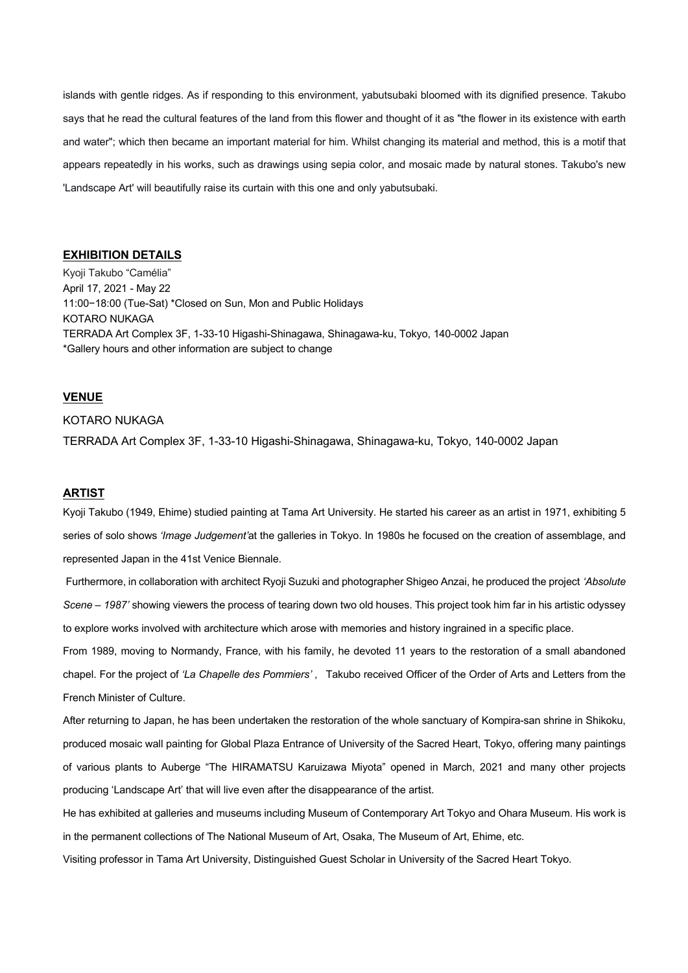islands with gentle ridges. As if responding to this environment, yabutsubaki bloomed with its dignified presence. Takubo says that he read the cultural features of the land from this flower and thought of it as "the flower in its existence with earth and water"; which then became an important material for him. Whilst changing its material and method, this is a motif that appears repeatedly in his works, such as drawings using sepia color, and mosaic made by natural stones. Takubo's new 'Landscape Art' will beautifully raise its curtain with this one and only yabutsubaki.

### **EXHIBITION DETAILS**

Kyoji Takubo "Camélia" April 17, 2021 - May 22 11:00−18:00 (Tue-Sat) \*Closed on Sun, Mon and Public Holidays KOTARO NUKAGA TERRADA Art Complex 3F, 1-33-10 Higashi-Shinagawa, Shinagawa-ku, Tokyo, 140-0002 Japan \*Gallery hours and other information are subject to change

## **VENUE**

### KOTARO NUKAGA

TERRADA Art Complex 3F, 1-33-10 Higashi-Shinagawa, Shinagawa-ku, Tokyo, 140-0002 Japan

## **ARTIST**

Kyoji Takubo (1949, Ehime) studied painting at Tama Art University. He started his career as an artist in 1971, exhibiting 5 series of solo shows *'Image Judgement'*at the galleries in Tokyo. In 1980s he focused on the creation of assemblage, and represented Japan in the 41st Venice Biennale.

Furthermore, in collaboration with architect Ryoji Suzuki and photographer Shigeo Anzai, he produced the project *'Absolute Scene – 1987'* showing viewers the process of tearing down two old houses. This project took him far in his artistic odyssey to explore works involved with architecture which arose with memories and history ingrained in a specific place.

From 1989, moving to Normandy, France, with his family, he devoted 11 years to the restoration of a small abandoned chapel. For the project of *'La Chapelle des Pommiers' ,* Takubo received Officer of the Order of Arts and Letters from the French Minister of Culture.

After returning to Japan, he has been undertaken the restoration of the whole sanctuary of Kompira-san shrine in Shikoku, produced mosaic wall painting for Global Plaza Entrance of University of the Sacred Heart, Tokyo, offering many paintings of various plants to Auberge "The HIRAMATSU Karuizawa Miyota" opened in March, 2021 and many other projects producing 'Landscape Art' that will live even after the disappearance of the artist.

He has exhibited at galleries and museums including Museum of Contemporary Art Tokyo and Ohara Museum. His work is in the permanent collections of The National Museum of Art, Osaka, The Museum of Art, Ehime, etc.

Visiting professor in Tama Art University, Distinguished Guest Scholar in University of the Sacred Heart Tokyo.